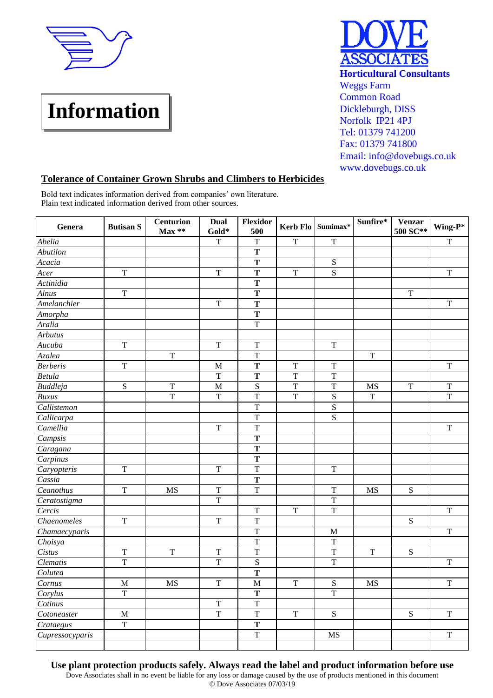

## **Information**



## **Tolerance of Container Grown Shrubs and Climbers to Herbicides**

Bold text indicates information derived from companies' own literature. Plain text indicated information derived from other sources.

| Genera          | <b>Butisan S</b> | <b>Centurion</b><br>$Max**$ | <b>Dual</b><br>Gold* | <b>Flexidor</b><br>500  |                | Kerb Flo Sumimax* | Sunfire*       | Venzar<br>500 SC** | Wing-P*                 |
|-----------------|------------------|-----------------------------|----------------------|-------------------------|----------------|-------------------|----------------|--------------------|-------------------------|
| Abelia          |                  |                             | $\mathbf T$          | $\mathbf T$             | $\mathbf T$    | $\mathbf T$       |                |                    | $\mathbf T$             |
| Abutilon        |                  |                             |                      | T                       |                |                   |                |                    |                         |
| Acacia          |                  |                             |                      | T                       |                | ${\bf S}$         |                |                    |                         |
| Acer            | $\overline{T}$   |                             | T                    | T                       | $\mathbf T$    | S                 |                |                    | $\mathbf T$             |
| Actinidia       |                  |                             |                      | T                       |                |                   |                |                    |                         |
| <b>Alnus</b>    | $\mathbf T$      |                             |                      | Т                       |                |                   |                | T                  |                         |
| Amelanchier     |                  |                             | $\mathbf T$          | T                       |                |                   |                |                    | $\mathbf T$             |
| Amorpha         |                  |                             |                      | $\overline{\mathbf{T}}$ |                |                   |                |                    |                         |
| Aralia          |                  |                             |                      | $\mathbf T$             |                |                   |                |                    |                         |
| <b>Arbutus</b>  |                  |                             |                      |                         |                |                   |                |                    |                         |
| Aucuba          | $\mathbf T$      |                             | $\mathbf T$          | $\mathbf T$             |                | $\mathbf T$       |                |                    |                         |
| Azalea          |                  | $\overline{T}$              |                      | $\overline{T}$          |                |                   | $\mathbf T$    |                    |                         |
| <b>Berberis</b> | $\overline{T}$   |                             | M                    | T                       | T              | T                 |                |                    | $\mathbf T$             |
| <b>Betula</b>   |                  |                             | T                    | T                       | T              | $\overline{T}$    |                |                    |                         |
| <b>Buddleja</b> | ${\bf S}$        | $\mathbf T$                 | $\mathbf M$          | ${\bf S}$               | $\mathbf T$    | $\mathbf T$       | $\rm MS$       | $\mathbf T$        | $\mathbf T$             |
| <b>Buxus</b>    |                  | T                           | $\mathbf T$          | $\mathbf T$             | T              | ${\bf S}$         | $\mathbf T$    |                    | $\overline{T}$          |
| Callistemon     |                  |                             |                      | T                       |                | S                 |                |                    |                         |
| Callicarpa      |                  |                             |                      | T                       |                | S                 |                |                    |                         |
| Camellia        |                  |                             | $\mathbf T$          | $\mathbf T$             |                |                   |                |                    | $\overline{T}$          |
| Campsis         |                  |                             |                      | $\mathbf T$             |                |                   |                |                    |                         |
| Caragana        |                  |                             |                      | T                       |                |                   |                |                    |                         |
| Carpinus        |                  |                             |                      | T                       |                |                   |                |                    |                         |
| Caryopteris     | $\mathbf T$      |                             | $\mathbf T$          | $\overline{T}$          |                | T                 |                |                    |                         |
| Cassia          |                  |                             |                      | T                       |                |                   |                |                    |                         |
| Ceanothus       | $\mathbf T$      | <b>MS</b>                   | $\mathbf T$          | $\mathbf T$             |                | $\mathbf T$       | MS             | ${\bf S}$          |                         |
| Ceratostigma    |                  |                             | $\overline{T}$       |                         |                | $\overline{T}$    |                |                    |                         |
| Cercis          |                  |                             |                      | $\overline{T}$          | $\overline{T}$ | $\overline{T}$    |                |                    | $\overline{T}$          |
| Chaenomeles     | $\overline{T}$   |                             | $\mathbf T$          | $\overline{T}$          |                |                   |                | ${\bf S}$          |                         |
| Chamaecyparis   |                  |                             |                      | $\mathbf T$             |                | $\mathbf M$       |                |                    | $\mathbf T$             |
| Choisya         |                  |                             |                      | $\mathbf T$             |                | $\mathbf T$       |                |                    |                         |
| Cistus          | T                | $\overline{T}$              | $\overline{T}$       | $\overline{T}$          |                | $\overline{T}$    | $\overline{T}$ | ${\bf S}$          |                         |
| <b>Clematis</b> | $\overline{T}$   |                             | $\overline{T}$       | S                       |                | $\overline{T}$    |                |                    | $\overline{\mathrm{T}}$ |
| Colutea         |                  |                             |                      | T                       |                |                   |                |                    |                         |
| Cornus          | $\mathbf M$      | <b>MS</b>                   | $\mathbf T$          | $\mathbf M$             | $\mathbf T$    | ${\bf S}$         | MS             |                    | $\mathbf T$             |
| Corylus         | T                |                             |                      | T                       |                | T                 |                |                    |                         |
| Cotinus         |                  |                             | $\mathbf T$          | $\overline{T}$          |                |                   |                |                    |                         |
| Cotoneaster     | $\mathbf M$      |                             | $\overline{T}$       | $\mathbf T$             | $\mathbf T$    | S                 |                | S                  | $\mathbf T$             |
| Crataegus       | T                |                             |                      | T                       |                |                   |                |                    |                         |
| Cupressocyparis |                  |                             |                      | $\mathbf T$             |                | MS                |                |                    | $\mathbf T$             |

**Use plant protection products safely. Always read the label and product information before use**

Dove Associates shall in no event be liable for any loss or damage caused by the use of products mentioned in this document © Dove Associates 07/03/19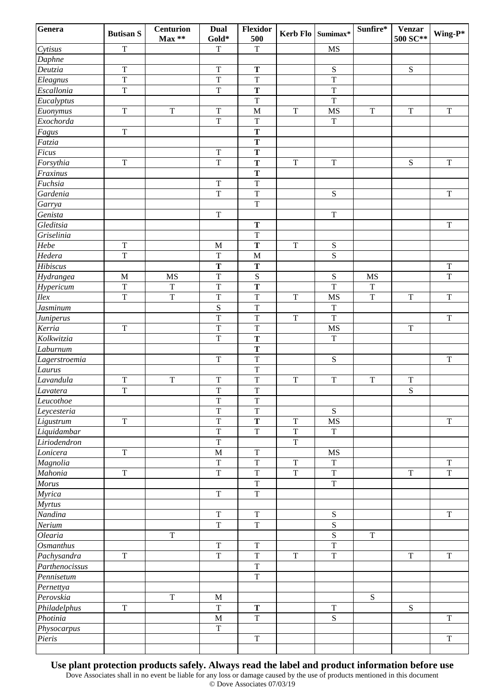| Genera           | <b>Butisan S</b> | <b>Centurion</b><br>$Max**$ | Dual<br>Gold*           | Flexidor<br>500         |                         | Kerb Flo Sumimax* | Sunfire*    | <b>Venzar</b><br>500 SC** | Wing-P*                 |
|------------------|------------------|-----------------------------|-------------------------|-------------------------|-------------------------|-------------------|-------------|---------------------------|-------------------------|
| Cytisus          | $\overline{T}$   |                             | $\mathbf T$             | $\overline{T}$          |                         | <b>MS</b>         |             |                           |                         |
| Daphne           |                  |                             |                         |                         |                         |                   |             |                           |                         |
| Deutzia          | $\mathbf T$      |                             | $\mathbf T$             | $\mathbf T$             |                         | ${\bf S}$         |             | ${\bf S}$                 |                         |
| Eleagnus         | $\mathbf T$      |                             | $\mathbf T$             | $\mathbf T$             |                         | $\mathbf T$       |             |                           |                         |
| Escallonia       | $\mathbf T$      |                             | $\mathbf T$             | $\mathbf T$             |                         | $\mathbf T$       |             |                           |                         |
| Eucalyptus       |                  |                             |                         | $\mathbf T$             |                         | $\mathbf T$       |             |                           |                         |
| Euonymus         | $\mathbf T$      | $\mathbf T$                 | $\mathbf T$             | $\mathbf M$             | $\mathbf T$             | MS                | $\mathbf T$ | $\mathbf T$               | $\mathbf T$             |
| Exochorda        |                  |                             | $\mathbf T$             | $\mathbf T$             |                         | $\mathbf T$       |             |                           |                         |
| Fagus            | $\mathbf T$      |                             |                         | T                       |                         |                   |             |                           |                         |
| Fatzia           |                  |                             |                         | $\mathbf T$             |                         |                   |             |                           |                         |
| Ficus            |                  |                             | $\mathbf T$             | $\mathbf T$             |                         |                   |             |                           |                         |
| Forsythia        | $\mathbf T$      |                             | $\mathbf T$             | $\mathbf T$             | $\mathbf T$             | $\mathbf T$       |             | ${\bf S}$                 | $\mathbf T$             |
| Fraxinus         |                  |                             |                         | $\mathbf T$             |                         |                   |             |                           |                         |
| Fuchsia          |                  |                             | $\mathbf T$             | $\overline{T}$          |                         |                   |             |                           |                         |
| Gardenia         |                  |                             | $\mathbf T$             | $\mathbf T$             |                         | ${\bf S}$         |             |                           | $\mathbf T$             |
| Garrya           |                  |                             |                         | $\mathbf T$             |                         |                   |             |                           |                         |
| Genista          |                  |                             | $\mathbf T$             |                         |                         | $\mathbf T$       |             |                           |                         |
| Gleditsia        |                  |                             |                         | T                       |                         |                   |             |                           | $\mathbf T$             |
| Griselinia       |                  |                             |                         | $\mathbf T$             |                         |                   |             |                           |                         |
| Hebe             | $\mathbf T$      |                             | $\mathbf M$             | $\mathbf T$             | $\mathbf T$             | ${\bf S}$         |             |                           |                         |
| Hedera           | $\overline{T}$   |                             | $\mathbf T$             | $\mathbf M$             |                         | $\overline{S}$    |             |                           |                         |
| Hibiscus         |                  |                             | $\mathbf T$             | $\mathbf T$             |                         |                   |             |                           | $\mathbf T$             |
| Hydrangea        | $\mathbf M$      | <b>MS</b>                   | $\mathbf T$             | ${\bf S}$               |                         | ${\bf S}$         | MS          |                           | $\mathbf T$             |
| Hypericum        | T                | $\mathbf T$                 | $\mathbf T$             | $\mathbf T$             |                         | $\overline{T}$    | $\mathbf T$ |                           |                         |
| Ilex             | T                | $\mathbf T$                 | $\mathbf T$             | $\mathbf T$             | $\mathbf T$             | MS                | $\mathbf T$ | $\mathbf T$               | $\mathbf T$             |
| Jasminum         |                  |                             | S                       | $\overline{T}$          |                         | $\bar{T}$         |             |                           |                         |
| Juniperus        |                  |                             | $\overline{T}$          | $\overline{\mathrm{T}}$ | $\mathbf T$             | $\overline{T}$    |             |                           | $\mathbf T$             |
| Kerria           | $\mathbf T$      |                             | $\mathbf T$             | $\mathbf T$             |                         | MS                |             | $\mathbf T$               |                         |
| Kolkwitzia       |                  |                             | $\overline{T}$          | $\mathbf T$             |                         | $\mathbf T$       |             |                           |                         |
| Laburnum         |                  |                             |                         | $\mathbf T$             |                         |                   |             |                           |                         |
| Lagerstroemia    |                  |                             | $\mathbf T$             | $\mathbf T$             |                         | ${\bf S}$         |             |                           | $\mathbf T$             |
| Laurus           |                  |                             |                         | $\mathbf T$             |                         |                   |             |                           |                         |
| Lavandula        | ${\bf T}$        | $\mathbf T$                 | $\mathbf T$             | $\mathbf T$             | $\mathbf T$             | $\mathbf T$       | $\mathbf T$ | $\mathbf T$               |                         |
| Lavatera         | $\overline{T}$   |                             | $\mathbf T$             | $\overline{T}$          |                         |                   |             | ${\bf S}$                 |                         |
| Leucothoe        |                  |                             | $\mathbf T$             | $\mathbf T$             |                         |                   |             |                           |                         |
| Leycesteria      |                  |                             | $\overline{T}$          | $\overline{T}$          |                         | ${\bf S}$         |             |                           |                         |
| Ligustrum        | $\mathbf T$      |                             | $\mathbf T$             | $\mathbf T$             | $\mathbf T$             | <b>MS</b>         |             |                           | T                       |
| Liquidambar      |                  |                             | $\overline{\mathrm{T}}$ | $\overline{T}$          | $\overline{\mathrm{T}}$ | $\mathbf T$       |             |                           |                         |
| Liriodendron     |                  |                             | $\mathbf T$             |                         | $\overline{T}$          |                   |             |                           |                         |
| Lonicera         | $\mathbf T$      |                             | $\mathbf M$             | $\mathbf T$             |                         | MS                |             |                           |                         |
| Magnolia         |                  |                             | $\mathbf T$             | $\mathbf T$             | $\mathbf T$             | $\mathbf T$       |             |                           | $\mathbf T$             |
| Mahonia          | $\mathbf T$      |                             | $\mathbf T$             | $\mathbf T$             | $\mathbf T$             | $\mathbf T$       |             | $\mathbf T$               | $\mathbf T$             |
| Morus            |                  |                             |                         | $\mathbf T$             |                         | $\mathbf T$       |             |                           |                         |
| Myrica           |                  |                             | $\mathbf T$             | $\mathbf T$             |                         |                   |             |                           |                         |
| <b>Myrtus</b>    |                  |                             |                         |                         |                         |                   |             |                           |                         |
| Nandina          |                  |                             | $\mathbf T$             | $\rm T$                 |                         | ${\bf S}$         |             |                           | $\overline{\mathrm{T}}$ |
| Nerium           |                  |                             | $\mathbf T$             | $\mathbf T$             |                         | ${\bf S}$         |             |                           |                         |
| Olearia          |                  | $\mathbf T$                 |                         |                         |                         | ${\bf S}$         | $\mathbf T$ |                           |                         |
| <b>Osmanthus</b> |                  |                             | $\mathbf T$             | $\mathbf T$             |                         | $\overline{T}$    |             |                           |                         |
| Pachysandra      | $\mathbf T$      |                             | $\mathbf T$             | $\mathbf T$             | T                       | $\mathbf T$       |             | T                         | T                       |
| Parthenocissus   |                  |                             |                         | $\overline{T}$          |                         |                   |             |                           |                         |
| Pennisetum       |                  |                             |                         | $\rm T$                 |                         |                   |             |                           |                         |
| Pernettya        |                  |                             |                         |                         |                         |                   |             |                           |                         |
| Perovskia        |                  | $\mathbf T$                 | $\mathbf M$             |                         |                         |                   | S           |                           |                         |
| Philadelphus     | $\mathbf T$      |                             | $\mathbf T$             | T                       |                         | $\mathbf T$       |             | S                         |                         |
| Photinia         |                  |                             | $\mathbf M$             | $\mathbf T$             |                         | S                 |             |                           | $\mathbf T$             |
| Physocarpus      |                  |                             | $\mathbf T$             |                         |                         |                   |             |                           |                         |
| Pieris           |                  |                             |                         | $\mathbf T$             |                         |                   |             |                           | $\mathbf T$             |
|                  |                  |                             |                         |                         |                         |                   |             |                           |                         |

**Use plant protection products safely. Always read the label and product information before use**

Dove Associates shall in no event be liable for any loss or damage caused by the use of products mentioned in this document © Dove Associates 07/03/19